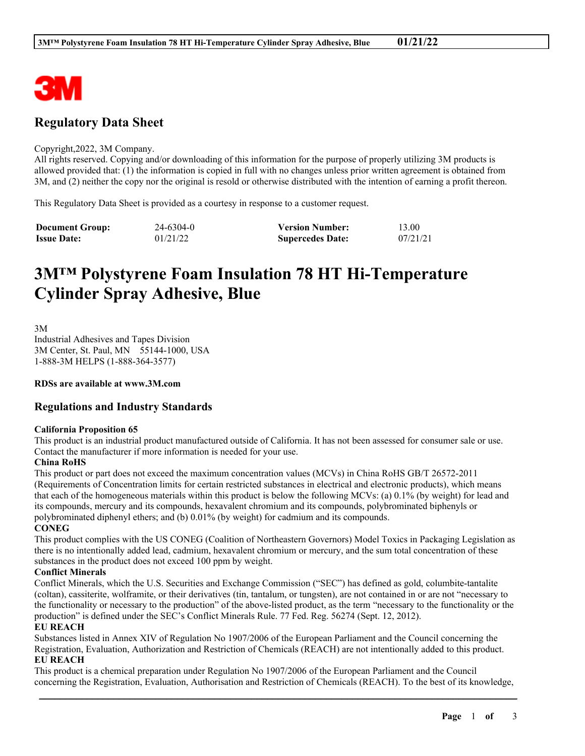

# **Regulatory Data Sheet**

#### Copyright,2022, 3M Company.

All rights reserved. Copying and/or downloading of this information for the purpose of properly utilizing 3M products is allowed provided that: (1) the information is copied in full with no changes unless prior written agreement is obtained from 3M, and (2) neither the copy nor the original is resold or otherwise distributed with the intention of earning a profit thereon.

This Regulatory Data Sheet is provided as a courtesy in response to a customer request.

| <b>Document Group:</b> | 24-6304-0 | <b>Version Number:</b>  | 13.00    |
|------------------------|-----------|-------------------------|----------|
| <b>Issue Date:</b>     | 01/21/22  | <b>Supercedes Date:</b> | 07/21/21 |

# **3M™ Polystyrene Foam Insulation 78 HT Hi-Temperature Cylinder Spray Adhesive, Blue**

3M Industrial Adhesives and Tapes Division 3M Center, St. Paul, MN 55144-1000, USA 1-888-3M HELPS (1-888-364-3577)

**RDSs are available at www.3M.com**

## **Regulations and Industry Standards**

#### **California Proposition 65**

This product is an industrial product manufactured outside of California. It has not been assessed for consumer sale or use. Contact the manufacturer if more information is needed for your use.

#### **China RoHS**

This product or part does not exceed the maximum concentration values (MCVs) in China RoHS GB/T 26572-2011 (Requirements of Concentration limits for certain restricted substances in electrical and electronic products), which means that each of the homogeneous materials within this product is below the following MCVs: (a) 0.1% (by weight) for lead and its compounds, mercury and its compounds, hexavalent chromium and its compounds, polybrominated biphenyls or polybrominated diphenyl ethers; and (b) 0.01% (by weight) for cadmium and its compounds.

**CONEG**

This product complies with the US CONEG (Coalition of Northeastern Governors) Model Toxics in Packaging Legislation as there is no intentionally added lead, cadmium, hexavalent chromium or mercury, and the sum total concentration of these substances in the product does not exceed 100 ppm by weight.

#### **Conflict Minerals**

Conflict Minerals, which the U.S. Securities and Exchange Commission ("SEC") has defined as gold, columbite-tantalite (coltan), cassiterite, wolframite, or their derivatives (tin, tantalum, or tungsten), are not contained in or are not "necessary to the functionality or necessary to the production" of the above-listed product, as the term "necessary to the functionality or the production" is defined under the SEC's Conflict Minerals Rule. 77 Fed. Reg. 56274 (Sept. 12, 2012).

#### **EU REACH**

Substances listed in Annex XIV of Regulation No 1907/2006 of the European Parliament and the Council concerning the Registration, Evaluation, Authorization and Restriction of Chemicals (REACH) are not intentionally added to this product. **EU REACH**

This product is a chemical preparation under Regulation No 1907/2006 of the European Parliament and the Council concerning the Registration, Evaluation, Authorisation and Restriction of Chemicals (REACH). To the best of its knowledge,

\_\_\_\_\_\_\_\_\_\_\_\_\_\_\_\_\_\_\_\_\_\_\_\_\_\_\_\_\_\_\_\_\_\_\_\_\_\_\_\_\_\_\_\_\_\_\_\_\_\_\_\_\_\_\_\_\_\_\_\_\_\_\_\_\_\_\_\_\_\_\_\_\_\_\_\_\_\_\_\_\_\_\_\_\_\_\_\_\_\_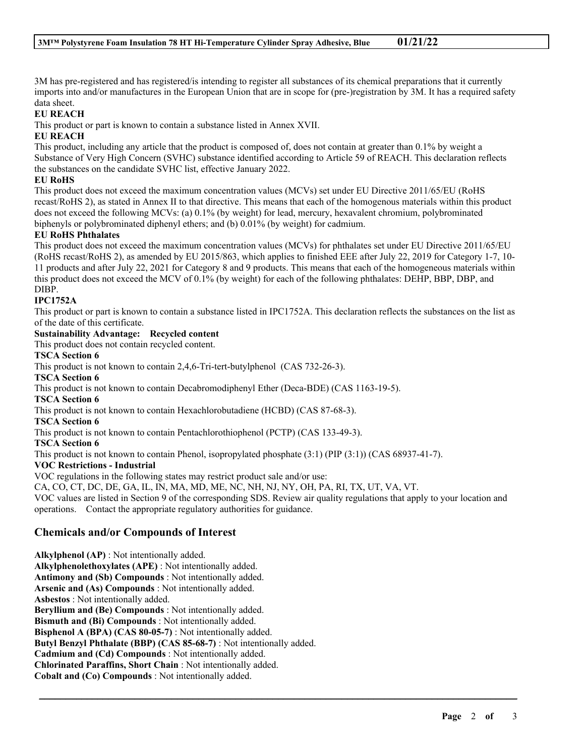3M has pre-registered and has registered/is intending to register all substances of its chemical preparations that it currently imports into and/or manufactures in the European Union that are in scope for (pre-)registration by 3M. It has a required safety data sheet.

#### **EU REACH**

This product or part is known to contain a substance listed in Annex XVII.

#### **EU REACH**

This product, including any article that the product is composed of, does not contain at greater than 0.1% by weight a Substance of Very High Concern (SVHC) substance identified according to Article 59 of REACH. This declaration reflects the substances on the candidate SVHC list, effective January 2022.

#### **EU RoHS**

This product does not exceed the maximum concentration values (MCVs) set under EU Directive 2011/65/EU (RoHS recast/RoHS 2), as stated in Annex II to that directive. This means that each of the homogenous materials within this product does not exceed the following MCVs: (a) 0.1% (by weight) for lead, mercury, hexavalent chromium, polybrominated biphenyls or polybrominated diphenyl ethers; and (b) 0.01% (by weight) for cadmium.

#### **EU RoHS Phthalates**

This product does not exceed the maximum concentration values (MCVs) for phthalates set under EU Directive 2011/65/EU (RoHS recast/RoHS 2), as amended by EU 2015/863, which applies to finished EEE after July 22, 2019 for Category 1-7, 10- 11 products and after July 22, 2021 for Category 8 and 9 products. This means that each of the homogeneous materials within this product does not exceed the MCV of 0.1% (by weight) for each of the following phthalates: DEHP, BBP, DBP, and DIBP.

#### **IPC1752A**

This product or part is known to contain a substance listed in IPC1752A. This declaration reflects the substances on the list as of the date of this certificate.

#### **Sustainability Advantage: Recycled content**

This product does not contain recycled content.

#### **TSCA Section 6**

This product is not known to contain 2,4,6-Tri-tert-butylphenol (CAS 732-26-3).

**TSCA Section 6**

This product is not known to contain Decabromodiphenyl Ether (Deca-BDE) (CAS 1163-19-5).

# **TSCA Section 6**

This product is not known to contain Hexachlorobutadiene (HCBD) (CAS 87-68-3).

**TSCA Section 6**

This product is not known to contain Pentachlorothiophenol (PCTP) (CAS 133-49-3).

#### **TSCA Section 6**

This product is not known to contain Phenol, isopropylated phosphate (3:1) (PIP (3:1)) (CAS 68937-41-7).

#### **VOC Restrictions - Industrial**

VOC regulations in the following states may restrict product sale and/or use:

CA, CO, CT, DC, DE, GA, IL, IN, MA, MD, ME, NC, NH, NJ, NY, OH, PA, RI, TX, UT, VA, VT.

VOC values are listed in Section 9 of the corresponding SDS. Review air quality regulations that apply to your location and operations. Contact the appropriate regulatory authorities for guidance.

\_\_\_\_\_\_\_\_\_\_\_\_\_\_\_\_\_\_\_\_\_\_\_\_\_\_\_\_\_\_\_\_\_\_\_\_\_\_\_\_\_\_\_\_\_\_\_\_\_\_\_\_\_\_\_\_\_\_\_\_\_\_\_\_\_\_\_\_\_\_\_\_\_\_\_\_\_\_\_\_\_\_\_\_\_\_\_\_\_\_

## **Chemicals and/or Compounds of Interest**

**Alkylphenol (AP)** : Not intentionally added. **Alkylphenolethoxylates (APE)** : Not intentionally added. **Antimony and (Sb) Compounds** : Not intentionally added. **Arsenic and (As) Compounds** : Not intentionally added. **Asbestos** : Not intentionally added. **Beryllium and (Be) Compounds** : Not intentionally added. **Bismuth and (Bi) Compounds** : Not intentionally added. **Bisphenol A (BPA) (CAS 80-05-7)** : Not intentionally added. **Butyl Benzyl Phthalate (BBP) (CAS 85-68-7)** : Not intentionally added. **Cadmium and (Cd) Compounds** : Not intentionally added. **Chlorinated Paraffins, Short Chain** : Not intentionally added. **Cobalt and (Co) Compounds** : Not intentionally added.